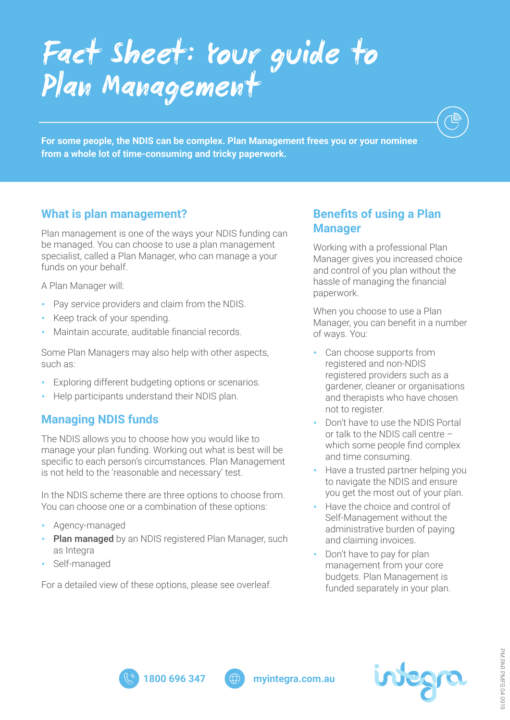# *Fact Sheet: Your guide to Plan Management*

**For some people, the NDIS can be complex. Plan Management frees you or your nominee from a whole lot of time-consuming and tricky paperwork.**

### **What is plan management?**

Plan management is one of the ways your NDIS funding can be managed. You can choose to use a plan management specialist, called a Plan Manager, who can manage a your funds on your behalf.

A Plan Manager will:

- Pay service providers and claim from the NDIS.
- Keep track of your spending.
- Maintain accurate, auditable financial records.

Some Plan Managers may also help with other aspects, such as:

- Exploring different budgeting options or scenarios.
- Help participants understand their NDIS plan.

## **Managing NDIS funds**

The NDIS allows you to choose how you would like to manage your plan funding. Working out what is best will be specific to each person's circumstances. Plan Management is not held to the 'reasonable and necessary' test.

In the NDIS scheme there are three options to choose from. You can choose one or a combination of these options:

- Agency-managed
- Plan managed by an NDIS registered Plan Manager, such as Integra
- Self-managed

For a detailed view of these options, please see overleaf.

### **Benefits of using a Plan Manager**

Working with a professional Plan Manager gives you increased choice and control of you plan without the hassle of managing the financial paperwork.

When you choose to use a Plan Manager, you can benefit in a number of ways. You:

- Can choose supports from registered and non-NDIS registered providers such as a gardener, cleaner or organisations and therapists who have chosen not to register.
- Don't have to use the NDIS Portal or talk to the NDIS call centre – which some people find complex and time consuming.
- Have a trusted partner helping you to navigate the NDIS and ensure you get the most out of your plan.
- Have the choice and control of Self-Management without the administrative burden of paying and claiming invoices.
- Don't have to pay for plan management from your core budgets. Plan Management is funded separately in your plan.